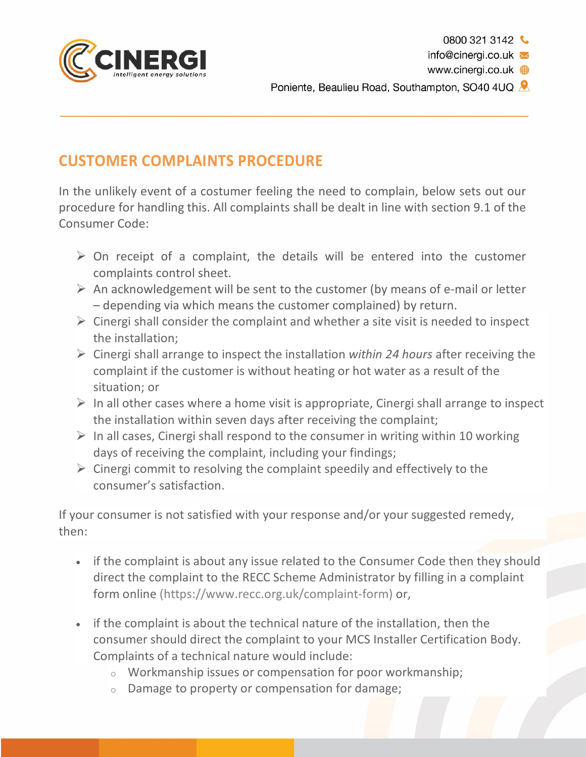

## **CUSTOMER COMPLAINTS PROCEDURE**

In the unlikely event of a costumer feeling the need to complain, below sets out our procedure for handling this. All complaints shall be dealt in line with section 9.1 of the Consumer Code:

- $\triangleright$  On receipt of a complaint, the details will be entered into the customer complaints control sheet.
- $\triangleright$  An acknowledgement will be sent to the customer (by means of e-mail or letter – depending via which means the customer complained) by return.
- $\triangleright$  Cinergi shall consider the complaint and whether a site visit is needed to inspect the installation;
- Ø Cinergi shall arrange to inspect the installation *within 24 hours* after receiving the complaint if the customer is without heating or hot water as a result of the situation; or
- $\triangleright$  In all other cases where a home visit is appropriate, Cinergi shall arrange to inspect the installation within seven days after receiving the complaint;
- $\triangleright$  In all cases, Cinergi shall respond to the consumer in writing within 10 working days of receiving the complaint, including your findings;
- $\triangleright$  Cinergi commit to resolving the complaint speedily and effectively to the consumer's satisfaction.

If your consumer is not satisfied with your response and/or your suggested remedy, then:

- if the complaint is about any issue related to the Consumer Code then they should direct the complaint to the RECC Scheme Administrator by filling in a complaint form online (https://www.recc.org.uk/complaint-form) or,
- if the complaint is about the technical nature of the installation, then the consumer should direct the complaint to your MCS Installer Certification Body. Complaints of a technical nature would include:
	- o Workmanship issues or compensation for poor workmanship;
	- o Damage to property or compensation for damage;